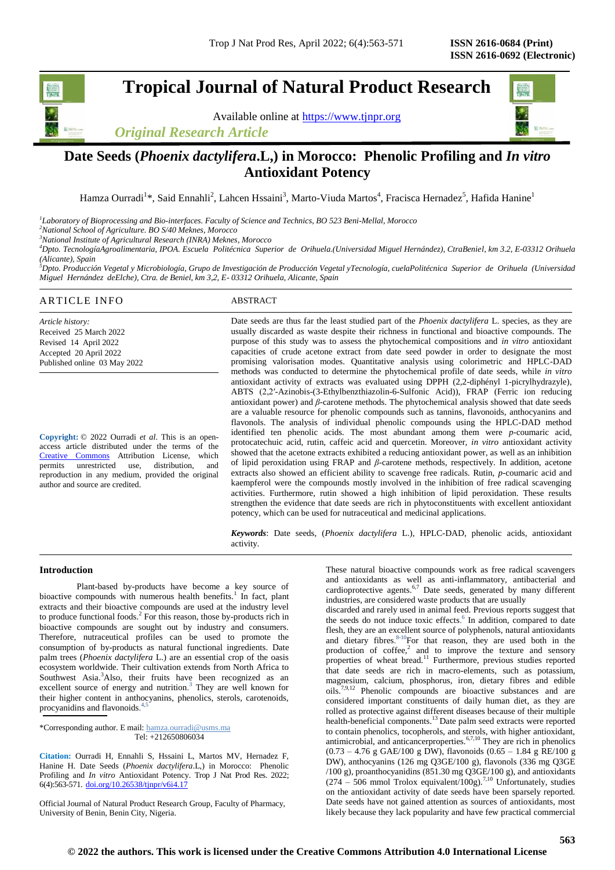# **Tropical Journal of Natural Product Research**

Available online at [https://www.tjnpr.org](https://www.tjnpr.org/)

*Original Research Article*



# **Date Seeds (***Phoenix dactylifera***.L,) in Morocco: Phenolic Profiling and** *In vitro* **Antioxidant Potency**

Hamza Ourradi<sup>1</sup>\*, Said Ennahli<sup>2</sup>, Lahcen Hssaini<sup>3</sup>, Marto-Viuda Martos<sup>4</sup>, Fracisca Hernadez<sup>5</sup>, Hafida Hanine<sup>1</sup>

*1 Laboratory of Bioprocessing and Bio-interfaces. Faculty of Science and Technics, BO 523 Beni-Mellal, Morocco*

*<sup>2</sup>National School of Agriculture. BO S/40 Meknes, Morocco*

*<sup>3</sup>National Institute of Agricultural Research (INRA) Meknes, Morocco*

*<sup>4</sup>Dpto. TecnologíaAgroalimentaria, IPOA. Escuela Politécnica Superior de Orihuela.(Universidad Miguel Hernández), CtraBeniel, km 3.2, E-03312 Orihuela (Alicante), Spain*

*<sup>5</sup>Dpto. Producción Vegetal y Microbiología, Grupo de Investigación de Producción Vegetal yTecnología, cuelaPolitécnica Superior de Orihuela (Universidad Miguel Hernández deElche), Ctra. de Beniel, km 3,2, E- 03312 Orihuela, Alicante, Spain*

# ARTICLE INFO ABSTRACT

*Article history:* Received 25 March 2022 Revised 14 April 2022 Accepted 20 April 2022 Published online 03 May 2022

**Copyright:** © 2022 Ourradi *et al*. This is an openaccess article distributed under the terms of the [Creative Commons](https://creativecommons.org/licenses/by/4.0/) Attribution License, which permits unrestricted use, distribution, and reproduction in any medium, provided the original author and source are credited.

Date seeds are thus far the least studied part of the *Phoenix dactylifera* L. species, as they are usually discarded as waste despite their richness in functional and bioactive compounds. The purpose of this study was to assess the phytochemical compositions and *in vitro* antioxidant capacities of crude acetone extract from date seed powder in order to designate the most promising valorisation modes. Quantitative analysis using colorimetric and HPLC-DAD methods was conducted to determine the phytochemical profile of date seeds, while *in vitro* antioxidant activity of extracts was evaluated using DPPH (2,2-diphényl 1-picrylhydrazyle), ABTS (2,2′-Azinobis-(3-Ethylbenzthiazolin-6-Sulfonic Acid)), FRAP (Ferric ion reducing antioxidant power) and *β*-carotene methods. The phytochemical analysis showed that date seeds are a valuable resource for phenolic compounds such as tannins, flavonoids, anthocyanins and flavonols. The analysis of individual phenolic compounds using the HPLC-DAD method identified ten phenolic acids. The most abundant among them were *p-*coumaric acid, protocatechuic acid, rutin, caffeic acid and quercetin. Moreover, *in vitro* antioxidant activity showed that the acetone extracts exhibited a reducing antioxidant power, as well as an inhibition of lipid peroxidation using FRAP and *β*-carotene methods, respectively. In addition, acetone extracts also showed an efficient ability to scavenge free radicals. Rutin, *p-*coumaric acid and kaempferol were the compounds mostly involved in the inhibition of free radical scavenging activities. Furthermore, rutin showed a high inhibition of lipid peroxidation. These results strengthen the evidence that date seeds are rich in phytoconstituents with excellent antioxidant potency, which can be used for nutraceutical and medicinal applications.

*Keywords*: Date seeds, (*Phoenix dactylifera* L.), HPLC-DAD, phenolic acids, antioxidant activity.

### **Introduction**

Plant-based by-products have become a key source of bioactive compounds with numerous health benefits.<sup>1</sup> In fact, plant extracts and their bioactive compounds are used at the industry level to produce functional foods.<sup>2</sup> For this reason, those by-products rich in bioactive compounds are sought out by industry and consumers. Therefore, nutraceutical profiles can be used to promote the consumption of by-products as natural functional ingredients. Date palm trees (*Phoenix dactylifera* L.) are an essential crop of the oasis ecosystem worldwide. Their cultivation extends from North Africa to Southwest Asia.<sup>3</sup>Also, their fruits have been recognized as an excellent source of energy and nutrition. 3 They are well known for their higher content in anthocyanins, phenolics, sterols, carotenoids, procyanidins and flavonoids. 4,5

\*Corresponding author. E mail: hamza.ourradi@usms.ma Tel: +212650806034

**Citation:** Ourradi H, Ennahli S, Hssaini L, Martos MV, Hernadez F, Hanine H. Date Seeds (*Phoenix dactylifera*.L,) in Morocco: Phenolic Profiling and *In vitro* Antioxidant Potency. Trop J Nat Prod Res. 2022; 6(4):563-571. [doi.org/10.26538/tjnpr/v6i4.1](http://www.doi.org/10.26538/tjnpr/v1i4.5)7

Official Journal of Natural Product Research Group, Faculty of Pharmacy, University of Benin, Benin City, Nigeria.

These natural bioactive compounds work as free radical scavengers and antioxidants as well as anti-inflammatory, antibacterial and cardioprotective agents.<sup>6,7</sup> Date seeds, generated by many different industries, are considered waste products that are usually

discarded and rarely used in animal feed. Previous reports suggest that the seeds do not induce toxic effects. 6 In addition, compared to date flesh, they are an excellent source of polyphenols, natural antioxidants and dietary fibres. 8-10For that reason, they are used both in the production of  $cofree<sup>2</sup>$  and to improve the texture and sensory properties of wheat bread.<sup>11</sup> Furthermore, previous studies reported that date seeds are rich in macro-elements, such as potassium, magnesium, calcium, phosphorus, iron, dietary fibres and edible oils.7,9,12 Phenolic compounds are bioactive substances and are considered important constituents of daily human diet, as they are rolled as protective against different diseases because of their multiple health-beneficial components.<sup>13</sup> Date palm seed extracts were reported to contain phenolics, tocopherols, and sterols, with higher antioxidant, antimicrobial, and anticancerproperties. $6,7,10$  They are rich in phenolics  $(0.73 - 4.76 \text{ g } \text{GAE}/100 \text{ g } \text{DW})$ , flavonoids  $(0.65 - 1.84 \text{ g } \text{RE}/100 \text{ g }$ DW), anthocyanins (126 mg Q3GE/100 g), flavonols (336 mg Q3GE /100 g), proanthocyanidins (851.30 mg Q3GE/100 g), and antioxidants  $(274 - 506 \text{ mmol}$  Trolox equivalent/100g).<sup>7,10</sup> Unfortunately, studies on the antioxidant activity of date seeds have been sparsely reported. Date seeds have not gained attention as sources of antioxidants, most likely because they lack popularity and have few practical commercial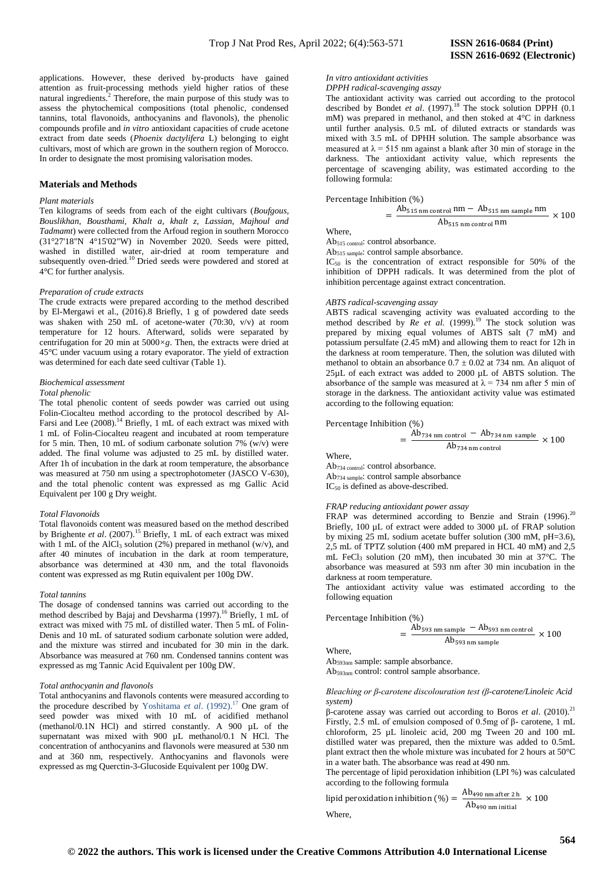applications. However, these derived by-products have gained attention as fruit-processing methods yield higher ratios of these natural ingredients.<sup>2</sup> Therefore, the main purpose of this study was to assess the phytochemical compositions (total phenolic, condensed tannins, total flavonoids, anthocyanins and flavonols), the phenolic compounds profile and *in vitro* antioxidant capacities of crude acetone extract from date seeds (*Phoenix dactylifera* L) belonging to eight cultivars, most of which are grown in the southern region of Morocco. In order to designate the most promising valorisation modes.

# **Materials and Methods**

# *Plant materials*

Ten kilograms of seeds from each of the eight cultivars (*Boufgous, Bouslikhan, Bousthami, Khalt a, khalt z, Lassian, Majhoul and Tadmamt*) were collected from the Arfoud region in southern Morocco (31°27'18"N 4°15'02"W) in November 2020. Seeds were pitted, washed in distilled water, air-dried at room temperature and subsequently oven-dried.<sup>10</sup> Dried seeds were powdered and stored at 4°C for further analysis.

#### *Preparation of crude extracts*

The crude extracts were prepared according to the method described by El-Mergawi et al., (2016).8 Briefly, 1 g of powdered date seeds was shaken with 250 mL of acetone-water (70:30, v/v) at room temperature for 12 hours. Afterward, solids were separated by centrifugation for 20 min at 5000*×g*. Then, the extracts were dried at 45°C under vacuum using a rotary evaporator. The yield of extraction was determined for each date seed cultivar (Table 1).

#### *Biochemical assessment*

# *Total phenolic*

The total phenolic content of seeds powder was carried out using Folin-Ciocalteu method according to the protocol described by Al-Farsi and Lee (2008).<sup>14</sup> Briefly, 1 mL of each extract was mixed with 1 mL of Folin-Ciocalteu reagent and incubated at room temperature for 5 min. Then, 10 mL of sodium carbonate solution 7% (w/v) were added. The final volume was adjusted to 25 mL by distilled water. After 1h of incubation in the dark at room temperature, the absorbance was measured at 750 nm using a spectrophotometer (JASCO V-630), and the total phenolic content was expressed as mg Gallic Acid Equivalent per 100 g Dry weight.

# *Total Flavonoids*

Total flavonoids content was measured based on the method described by Brighente *et al*. (2007). <sup>15</sup> Briefly, 1 mL of each extract was mixed with 1 mL of the AlCl<sub>3</sub> solution (2%) prepared in methanol (w/v), and after 40 minutes of incubation in the dark at room temperature, absorbance was determined at 430 nm, and the total flavonoids content was expressed as mg Rutin equivalent per 100g DW.

#### *Total tannins*

The dosage of condensed tannins was carried out according to the method described by Bajaj and Devsharma (1997). <sup>16</sup> Briefly, 1 mL of extract was mixed with 75 mL of distilled water. Then 5 mL of Folin-Denis and 10 mL of saturated sodium carbonate solution were added, and the mixture was stirred and incubated for 30 min in the dark. Absorbance was measured at 760 nm. Condensed tannins content was expressed as mg Tannic Acid Equivalent per 100g DW.

## *Total anthocyanin and flavonols*

Total anthocyanins and flavonols contents were measured according to the procedure described by Yoshitama *et al*. (1992). <sup>17</sup> One gram of seed powder was mixed with 10 mL of acidified methanol (methanol/0.1N HCl) and stirred constantly. A 900 µL of the supernatant was mixed with 900 µL methanol/0.1 N HCl. The concentration of anthocyanins and flavonols were measured at 530 nm and at 360 nm, respectively. Anthocyanins and flavonols were expressed as mg Querctin-3-Glucoside Equivalent per 100g DW.

### *In vitro antioxidant activities DPPH radical-scavenging assay*

The antioxidant activity was carried out according to the protocol described by Bondet *et al.* (1997).<sup>18</sup> The stock solution DPPH (0.1) mM) was prepared in methanol, and then stoked at 4°C in darkness until further analysis. 0.5 mL of diluted extracts or standards was mixed with 3.5 mL of DPHH solution. The sample absorbance was measured at  $\lambda = 515$  nm against a blank after 30 min of storage in the darkness. The antioxidant activity value, which represents the percentage of scavenging ability, was estimated according to the following formula:

#### Percentage Inhibition (%)

 $=$  $\frac{A}{A}$  $\frac{\text{Alb}_{515 \text{ nm}} \cdot \text{S}_{13 \text{ nm}} \cdot \text{S}_{14}}{\text{Ab}_{515 \text{ nm}} \cdot \text{control}}$  Nm

Where,

Ab515 control: control absorbance.

Ab515 sample: control sample absorbance.

IC50 is the concentration of extract responsible for 50% of the inhibition of DPPH radicals. It was determined from the plot of inhibition percentage against extract concentration.

#### *ABTS radical-scavenging assay*

ABTS radical scavenging activity was evaluated according to the method described by *Re et al*. (1999). <sup>19</sup> The stock solution was prepared by mixing equal volumes of ABTS salt (7 mM) and potassium persulfate (2.45 mM) and allowing them to react for 12h in the darkness at room temperature. Then, the solution was diluted with methanol to obtain an absorbance  $0.7 \pm 0.02$  at 734 nm. An aliquot of 25µL of each extract was added to 2000 µL of ABTS solution. The absorbance of the sample was measured at  $\lambda = 734$  nm after 5 min of storage in the darkness. The antioxidant activity value was estimated according to the following equation:

# Percentage Inhibition (%)

$$
= \frac{\text{Ab}_{734 \text{ nm control}} - \text{Ab}_{734 \text{ nm sample}}}{\text{Ab}_{734 \text{ nm control}}} \times 100
$$

Where, Ab734 control: control absorbance.

Ab734 sample: control sample absorbance IC<sub>50</sub> is defined as above-described.

# *FRAP reducing antioxidant power assay*

FRAP was determined according to Benzie and Strain  $(1996)$ .<sup>20</sup> Briefly, 100 µL of extract were added to 3000 µL of FRAP solution by mixing 25 mL sodium acetate buffer solution (300 mM, pH=3.6), 2,5 mL of TPTZ solution (400 mM prepared in HCL 40 mM) and 2,5 mL FeCl<sub>3</sub> solution (20 mM), then incubated 30 min at  $37^{\circ}$ C. The absorbance was measured at 593 nm after 30 min incubation in the darkness at room temperature.

The antioxidant activity value was estimated according to the following equation

Percentage Inhibition (%)

$$
= \frac{\text{Ab}_{593 \text{ nm sample}} - \text{Ab}_{593 \text{ nm control}}}{\text{Ab}_{593 \text{ nm sample}}} \times 100
$$

 $\ddot{\phantom{a}}$ 

Where,

Ab593nm sample: sample absorbance. Ab593nm control: control sample absorbance.

# *Bleaching or β-carotene discolouration test (β-carotene/Linoleic Acid system)*

β-carotene assay was carried out according to Boros *et al*. (2010).<sup>21</sup> Firstly, 2.5 mL of emulsion composed of 0.5mg of β- carotene, 1 mL chloroform, 25 µL linoleic acid, 200 mg Tween 20 and 100 mL distilled water was prepared, then the mixture was added to 0.5mL plant extract then the whole mixture was incubated for 2 hours at 50°C in a water bath. The absorbance was read at 490 nm.

The percentage of lipid peroxidation inhibition (LPI %) was calculated according to the following formula

lipid peroxidation inhibition (%) =  $\frac{\text{A}}{\text{A}}$  $\frac{22490 \text{ min after } 2 \text{ m}}{Ab_{490 \text{ nm initial}}}$  × Where,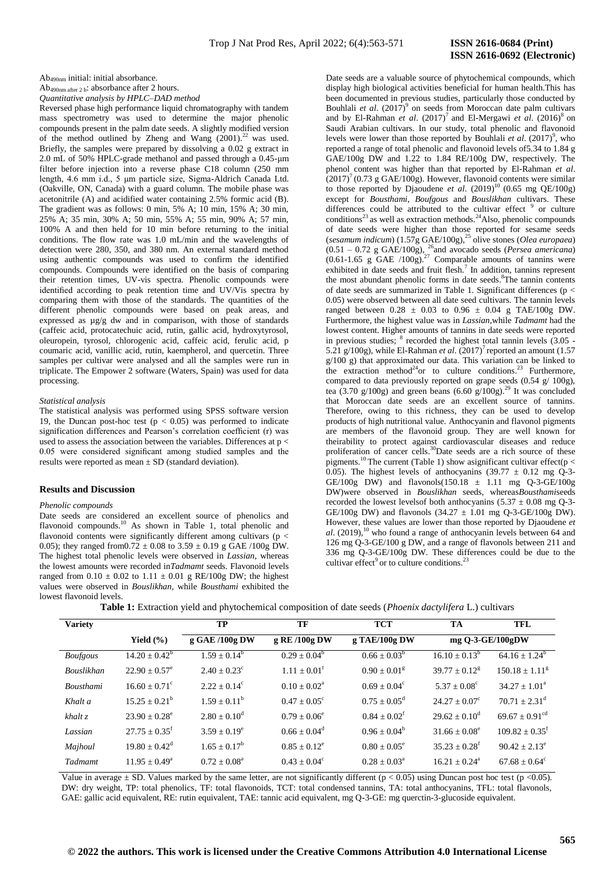Ab490nm initial: initial absorbance.

Ab490nm after 2 h: absorbance after 2 hours. *Quantitative analysis by HPLC–DAD method*

Reversed phase high performance liquid chromatography with tandem mass spectrometry was used to determine the major phenolic compounds present in the palm date seeds. A slightly modified version of the method outlined by Zheng and Wang  $(2001)^{22}$  was used. Briefly, the samples were prepared by dissolving a 0.02 g extract in 2.0 mL of 50% HPLC-grade methanol and passed through a 0.45-μm filter before injection into a reverse phase C18 column (250 mm length, 4.6 mm i.d., 5 μm particle size, Sigma-Aldrich Canada Ltd. (Oakville, ON, Canada) with a guard column. The mobile phase was acetonitrile (A) and acidified water containing 2.5% formic acid (B). The gradient was as follows: 0 min, 5% A; 10 min, 15% A; 30 min, 25% A; 35 min, 30% A; 50 min, 55% A; 55 min, 90% A; 57 min, 100% A and then held for 10 min before returning to the initial conditions. The flow rate was 1.0 mL/min and the wavelengths of detection were 280, 350, and 380 nm. An external standard method using authentic compounds was used to confirm the identified compounds. Compounds were identified on the basis of comparing their retention times, UV-vis spectra. Phenolic compounds were identified according to peak retention time and UV/Vis spectra by comparing them with those of the standards. The quantities of the different phenolic compounds were based on peak areas, and expressed as µg/g dw and in comparison, with those of standards (caffeic acid, protocatechuic acid, rutin, gallic acid, hydroxytyrosol, oleuropein, tyrosol, chlorogenic acid, caffeic acid, ferulic acid, p coumaric acid, vanillic acid, rutin, kaempherol, and quercetin. Three samples per cultivar were analysed and all the samples were run in triplicate. The Empower 2 software (Waters, Spain) was used for data processing.

# *Statistical analysis*

The statistical analysis was performed using SPSS software version 19, the Duncan post-hoc test ( $p < 0.05$ ) was performed to indicate signification differences and Pearson's correlation coefficient (r) was used to assess the association between the variables. Differences at p < 0.05 were considered significant among studied samples and the results were reported as mean  $\pm$  SD (standard deviation).

#### **Results and Discussion**

#### *Phenolic compounds*

Date seeds are considered an excellent source of phenolics and flavonoid compounds.<sup>10</sup> As shown in Table 1, total phenolic and flavonoid contents were significantly different among cultivars (p < 0.05); they ranged from  $0.72 \pm 0.08$  to  $3.59 \pm 0.19$  g GAE /100g DW. The highest total phenolic levels were observed in *Lassian,* whereas the lowest amounts were recorded in*Tadmamt* seeds. Flavonoid levels ranged from  $0.10 \pm 0.02$  to  $1.11 \pm 0.01$  g RE/100g DW; the highest values were observed in *Bouslikhan,* while *Bousthami* exhibited the lowest flavonoid levels.

Date seeds are a valuable source of phytochemical compounds, which display high biological activities beneficial for human health.This has been documented in previous studies, particularly those conducted by Bouhlali *et al.*  $(2017)^9$  on seeds from Moroccan date palm cultivars and by El-Rahman *et al.*  $(2017)^7$  and El-Mergawi *et al.*  $(2016)^8$  on Saudi Arabian cultivars. In our study, total phenolic and flavonoid levels were lower than those reported by Bouhlali *et al.*  $(2017)^9$ , who reported a range of total phenolic and flavonoid levels of5.34 to 1.84 g GAE/100g DW and 1.22 to 1.84 RE/100g DW, respectively. The phenol content was higher than that reported by El-Rahman *et al*.  $(2017)^7$  (0.73 g GAE/100g). However, flavonoid contents were similar to those reported by Djaoudene *et al.*  $(2019)^{10}$   $(0.65 \text{ mg }$  QE/100g) except for *Bousthami, Boufgous* and *Bouslikhan* cultivars. These differences could be attributed to the cultivar effect <sup>9</sup> or culture conditions<sup>23</sup> as well as extraction methods.<sup>24</sup>Also, phenolic compounds of date seeds were higher than those reported for sesame seeds (*sesamum indicum*) (1.57g GAE/100g),<sup>25</sup> olive stones (*Olea europaea*)  $(0.51 - 0.72$  g GAE/100g), <sup>26</sup>and avocado seeds (*Persea americana*)  $(0.61-1.65 \text{ g } GAE$  /100g).<sup>27</sup> Comparable amounts of tannins were exhibited in date seeds and fruit flesh.<sup>7</sup> In addition, tannins represent the most abundant phenolic forms in date seeds. 8 The tannin contents of date seeds are summarized in Table 1. Significant differences ( $p <$ 0.05) were observed between all date seed cultivars. The tannin levels ranged between  $0.28 \pm 0.03$  to  $0.96 \pm 0.04$  g TAE/100g DW. Furthermore, the highest value was in *Lassian,*while *Tadmamt* had the lowest content. Higher amounts of tannins in date seeds were reported in previous studies;  $8$  recorded the highest total tannin levels  $(3.05 -$ 5.21 g/100g), while El-Rahman *et al.*  $(2017)^7$  reported an amount (1.57  $g/100$  g) that approximated our data. This variation can be linked to the extraction method<sup>24</sup>or to culture conditions.<sup>23</sup> Furthermore, compared to data previously reported on grape seeds  $(0.54 \text{ g} / 100 \text{ g})$ , tea (3.70 g/100g) and green beans (6.60 g/100g).<sup>29</sup> It was concluded that Moroccan date seeds are an excellent source of tannins. Therefore, owing to this richness, they can be used to develop products of high nutritional value. Anthocyanin and flavonol pigments are members of the flavonoid group. They are well known for theirability to protect against cardiovascular diseases and reduce proliferation of cancer cells.<sup>30</sup>Date seeds are a rich source of these pigments.<sup>10</sup> The current (Table 1) show asignificant cultivar effect(p < 0.05). The highest levels of anthocyanins  $(39.77 \pm 0.12 \text{ mg Q-3}$ -GE/100g DW) and flavonols(150.18  $\pm$  1.11 mg O-3-GE/100g DW)were observed in *Bouslikhan* seeds, whereas*Bousthami*seeds recorded the lowest levelsof both anthocyanins  $(5.37 \pm 0.08 \text{ mg } 0.3)$ GE/100g DW) and flavonols  $(34.27 \pm 1.01 \text{ mg Q-3-GE/100g DW})$ . However, these values are lower than those reported by Djaoudene *et*   $a$ l. (2019),<sup>10</sup> who found a range of anthocyanin levels between 64 and 126 mg Q-3-GE/100 g DW, and a range of flavonols between 211 and 336 mg Q-3-GE/100g DW. These differences could be due to the cultivar effect<sup>9</sup> or to culture conditions.<sup>2</sup>

|--|

| <b>Variety</b>    |                          | TP                      | TF                    | <b>TCT</b>                 | TA                          | <b>TFL</b>                   |
|-------------------|--------------------------|-------------------------|-----------------------|----------------------------|-----------------------------|------------------------------|
|                   | Yield $(\% )$            | g GAE /100g DW          | g RE /100g DW         | g TAE/100g DW              | mg Q-3-GE/100gDW            |                              |
| <b>Boufgous</b>   | $14.20 \pm 0.42^b$       | $1.59 \pm 0.14^b$       | $0.29 \pm 0.04^b$     | $0.66 \pm 0.03^b$          | $16.10 \pm 0.13^b$          | $64.16 \pm 1.24^{\circ}$     |
| <b>Bouslikhan</b> | $22.90 + 0.57^e$         | $2.40 + 0.23^{\circ}$   | $1.11 + 0.01^t$       | $0.90 + 0.01g$             | $39.77 + 0.12^8$            | $150.18 + 1.11g$             |
| <b>Bousthami</b>  | $16.60 + 0.71^{\circ}$   | $2.22 + 0.14^c$         | $0.10 + 0.02^a$       | $0.69 + 0.04^{\circ}$      | $5.37 + 0.08^{\circ}$       | $34.27 + 1.01^a$             |
| Khalt a           | $15.25 \pm 0.21^{\rm b}$ | $1.59 \pm 0.11^{\rm b}$ | $0.47 + 0.05^{\circ}$ | $0.75 + 0.05^{\text{d}}$   | $24.27 + 0.07^{\circ}$      | $70.71 + 2.31^{\text{d}}$    |
| khalt z           | $23.90 \pm 0.28^e$       | $2.80 + 0.10^d$         | $0.79 + 0.06^e$       | $0.84 \pm 0.02^{\text{f}}$ | $29.62 + 0.10^d$            | $69.67 \pm 0.91^{\text{cd}}$ |
| Lassian           | $27.75 + 0.35^t$         | $3.59 + 0.19^e$         | $0.66 + 0.04^d$       | $0.96 + 0.04^h$            | $31.66 + 0.08^e$            | $109.82 + 0.35$ <sup>t</sup> |
| Majhoul           | $19.80 + 0.42^d$         | $1.65 \pm 0.17^b$       | $0.85 + 0.12^e$       | $0.80 + 0.05^{\circ}$      | $35.23 + 0.28$ <sup>f</sup> | $90.42 + 2.13^e$             |
| Tadmamt           | $11.95 + 0.49^a$         | $0.72 + 0.08^a$         | $0.43 + 0.04^{\circ}$ | $0.28 + 0.03^a$            | $16.21 + 0.24^a$            | $67.68 + 0.64^{\circ}$       |

Value in average  $\pm$  SD. Values marked by the same letter, are not significantly different ( $p < 0.05$ ) using Duncan post hoc test ( $p < 0.05$ ). DW: dry weight, TP: total phenolics, TF: total flavonoids, TCT: total condensed tannins, TA: total anthocyanins, TFL: total flavonols, GAE: gallic acid equivalent, RE: rutin equivalent, TAE: tannic acid equivalent, mg Q-3-GE: mg querctin-3-glucoside equivalent.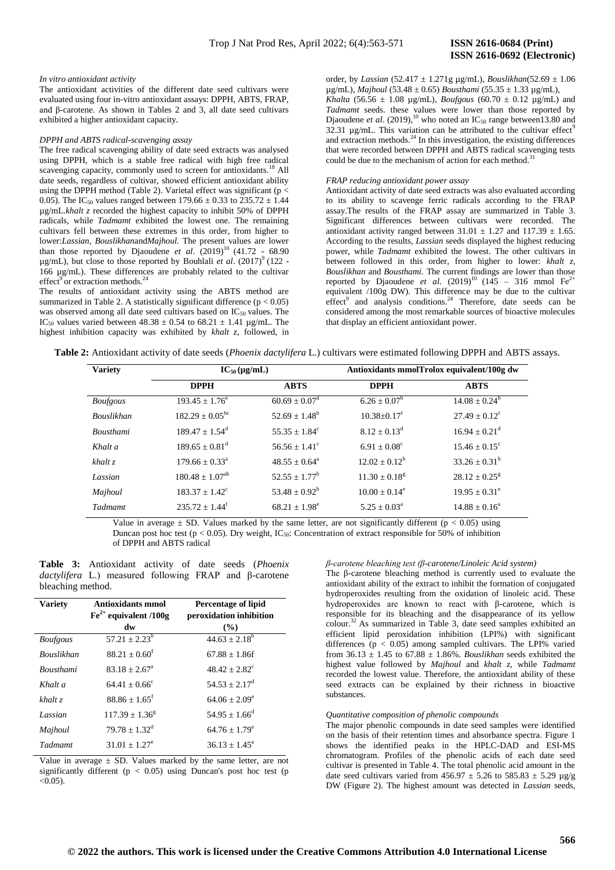#### *In vitro antioxidant activity*

The antioxidant activities of the different date seed cultivars were evaluated using four in-vitro antioxidant assays: DPPH, ABTS, FRAP, and β-carotene. As shown in Tables 2 and 3, all date seed cultivars exhibited a higher antioxidant capacity.

# *DPPH and ABTS radical-scavenging assay*

The free radical scavenging ability of date seed extracts was analysed using DPPH, which is a stable free radical with high free radical scavenging capacity, commonly used to screen for antioxidants.<sup>18</sup> All date seeds, regardless of cultivar, showed efficient antioxidant ability using the DPPH method (Table 2). Varietal effect was significant (p < 0.05). The IC<sub>50</sub> values ranged between 179.66  $\pm$  0.33 to 235.72  $\pm$  1.44 µg/mL.*khalt z* recorded the highest capacity to inhibit 50% of DPPH radicals, while *Tadmamt* exhibited the lowest one. The remaining cultivars fell between these extremes in this order, from higher to lower:*Lassian, Bouslikhan*and*Majhoul.* The present values are lower than those reported by Djaoudene *et al.*  $(2019)^{10}$  (41.72 - 68.90)  $\mu$ g/mL), but close to those reported by Bouhlali *et al.* (2017)<sup>9</sup> (122 -166 µg/mL). These differences are probably related to the cultivar effect<sup>9</sup> or extraction methods.<sup>24</sup>

The results of antioxidant activity using the ABTS method are summarized in Table 2. A statistically significant difference ( $p < 0.05$ ) was observed among all date seed cultivars based on IC<sub>50</sub> values. The IC<sub>50</sub> values varied between  $48.38 \pm 0.54$  to  $68.21 \pm 1.41$  µg/mL. The highest inhibition capacity was exhibited by *khalt z*, followed, in order, by *Lassian* (52.417 ± 1.271g µg/mL), *Bouslikhan*(52.69 ± 1.06 µg/mL), *Majhoul* (53.48 ± 0.65) *Bousthami* (55.35 ± 1.33 µg/mL), *Khalta* (56.56  $\pm$  1.08 µg/mL), *Boufgous* (60.70  $\pm$  0.12 µg/mL) and *Tadmamt* seeds. these values were lower than those reported by Djaoudene *et al.* (2019),<sup>10</sup> who noted an  $IC_{50}$  range between 13.80 and 32.31  $\mu$ g/mL. This variation can be attributed to the cultivar effect<sup>9</sup> and extraction methods. $24$  In this investigation, the existing differences that were recorded between DPPH and ABTS radical scavenging tests could be due to the mechanism of action for each method.<sup>31</sup>

#### *FRAP reducing antioxidant power assay*

Antioxidant activity of date seed extracts was also evaluated according to its ability to scavenge ferric radicals according to the FRAP assay.The results of the FRAP assay are summarized in Table 3. Significant differences between cultivars were recorded. The antioxidant activity ranged between  $31.01 \pm 1.27$  and  $117.39 \pm 1.65$ . According to the results, *Lassian* seeds displayed the highest reducing power, while *Tadmamt* exhibited the lowest. The other cultivars in between followed in this order, from higher to lower: *khalt z, Bouslikhan* and *Bousthami.* The current findings are lower than those reported by Djaoudene *et al.*  $(2019)^{10}$   $(145 - 316$  mmol Fe<sup>2+</sup> equivalent /100g DW). This difference may be due to the cultivar effect<sup>9</sup> and analysis conditions.<sup>24</sup> Therefore, date seeds can be considered among the most remarkable sources of bioactive molecules that display an efficient antioxidant power.

|  | <b>Table 2:</b> Antioxidant activity of date seeds <i>(Phoenix dactylifera L.)</i> cultivars were estimated following DPPH and ABTS assays. |  |
|--|---------------------------------------------------------------------------------------------------------------------------------------------|--|
|--|---------------------------------------------------------------------------------------------------------------------------------------------|--|

| <b>Variety</b>    | $IC_{50}(\mu g/mL)$          |                               |                               | Antioxidants mmolTrolox equivalent/100g dw |
|-------------------|------------------------------|-------------------------------|-------------------------------|--------------------------------------------|
|                   | <b>DPPH</b>                  | <b>ABTS</b>                   | <b>DPPH</b>                   | <b>ABTS</b>                                |
| <b>Boufgous</b>   | $193.45 \pm 1.76^e$          | $60.69 \pm 0.07$ <sup>d</sup> | $6.26 \pm 0.07^b$             | $14.08 \pm 0.24^b$                         |
| <b>Bouslikhan</b> | $182.29 \pm 0.05^{\rm bc}$   | $52.69 \pm 1.48^b$            | $10.38 \pm 0.17$ <sup>f</sup> | $27.49 \pm 0.12^f$                         |
| <b>Bousthami</b>  | $189.47 + 1.54^d$            | $55.35 + 1.84^{\circ}$        | $8.12 + 0.13^d$               | $16.94 \pm 0.21$ <sup>d</sup>              |
| Khalt a           | $189.65 + 0.81^{\text{d}}$   | $56.56 + 1.41^{\circ}$        | $6.91 + 0.08^{\circ}$         | $15.46 \pm 0.15^{\circ}$                   |
| $khalt$ z         | $179.66 + 0.33a$             | $48.55 + 0.64^a$              | $12.02 + 0.12^h$              | $33.26 \pm 0.31^{\rm h}$                   |
| Lassian           | $180.48 \pm 1.07^{ab}$       | $52.55 + 1.77^b$              | $11.30 + 0.18g$               | $28.12 \pm 0.25^8$                         |
| Majhoul           | $183.37 + 1.42^{\circ}$      | $53.48 \pm 0.92^b$            | $10.00 + 0.14^e$              | $19.95 \pm 0.31^e$                         |
| Tadmamt           | $235.72 + 1.44$ <sup>f</sup> | $68.21 \pm 1.98^e$            | $5.25 \pm 0.03^{\text{a}}$    | $14.88 \pm 0.16^a$                         |

Value in average  $\pm$  SD. Values marked by the same letter, are not significantly different ( $p < 0.05$ ) using Duncan post hoc test ( $p < 0.05$ ). Dry weight, IC<sub>50</sub>: Concentration of extract responsible for 50% of inhibition of DPPH and ABTS radical

**Table 3:** Antioxidant activity of date seeds (*Phoenix dactylifera* L.) measured following FRAP and β-carotene bleaching method.

| <b>Variety</b>    | Antioxidants mmol<br>$\text{Fe}^{2+}$ equivalent /100g | <b>Percentage of lipid</b><br>peroxidation inhibition |
|-------------------|--------------------------------------------------------|-------------------------------------------------------|
|                   | dw                                                     | $($ %)                                                |
| <b>Boufgous</b>   | $57.21 \pm 2.23^b$                                     | $44.63 + 2.18^b$                                      |
| <b>Bouslikhan</b> | $88.21 + 0.60^t$                                       | $67.88 + 1.86f$                                       |
| <b>Bousthami</b>  | $83.18 + 2.67^{\circ}$                                 | $48.42 + 2.82^{\circ}$                                |
| Khalt a           | $64.41 + 0.66^{\circ}$                                 | $54.53 + 2.17^d$                                      |
| khalt z           | $88.86 + 1.65$ <sup>f</sup>                            | $64.06 + 2.09^e$                                      |
| Lassian           | $117.39 \pm 1.36^8$                                    | $54.95 + 1.66^d$                                      |
| Majhoul           | $79.78 + 1.32^d$                                       | $64.76 + 1.79^e$                                      |
| Tadmamt           | $31.01 + 1.27^e$                                       | $36.13 + 1.45^{\circ}$                                |

Value in average  $\pm$  SD. Values marked by the same letter, are not significantly different ( $p < 0.05$ ) using Duncan's post hoc test ( $p$ )  $< 0.05$ ).

*β-carotene bleaching test (β-carotene/Linoleic Acid system)*

The β-carotene bleaching method is currently used to evaluate the antioxidant ability of the extract to inhibit the formation of conjugated hydroperoxides resulting from the oxidation of linoleic acid. These hydroperoxides are known to react with β-carotene, which is responsible for its bleaching and the disappearance of its yellow colour.<sup>32</sup>As summarized in Table 3, date seed samples exhibited an efficient lipid peroxidation inhibition (LPI%) with significant differences  $(p < 0.05)$  among sampled cultivars. The LPI% varied from 36.13 ± 1.45 to 67.88 ± 1.86%. *Bouslikhan* seeds exhibited the highest value followed by *Majhoul* and *khalt z*, while *Tadmamt*  recorded the lowest value. Therefore, the antioxidant ability of these seed extracts can be explained by their richness in bioactive substances.

### *Quantitative composition of phenolic compounds*

The major phenolic compounds in date seed samples were identified on the basis of their retention times and absorbance spectra. Figure 1 shows the identified peaks in the HPLC-DAD and ESI-MS chromatogram. Profiles of the phenolic acids of each date seed cultivar is presented in Table 4. The total phenolic acid amount in the date seed cultivars varied from  $456.97 \pm 5.26$  to  $585.83 \pm 5.29$  µg/g DW (Figure 2). The highest amount was detected in *Lassian* seeds,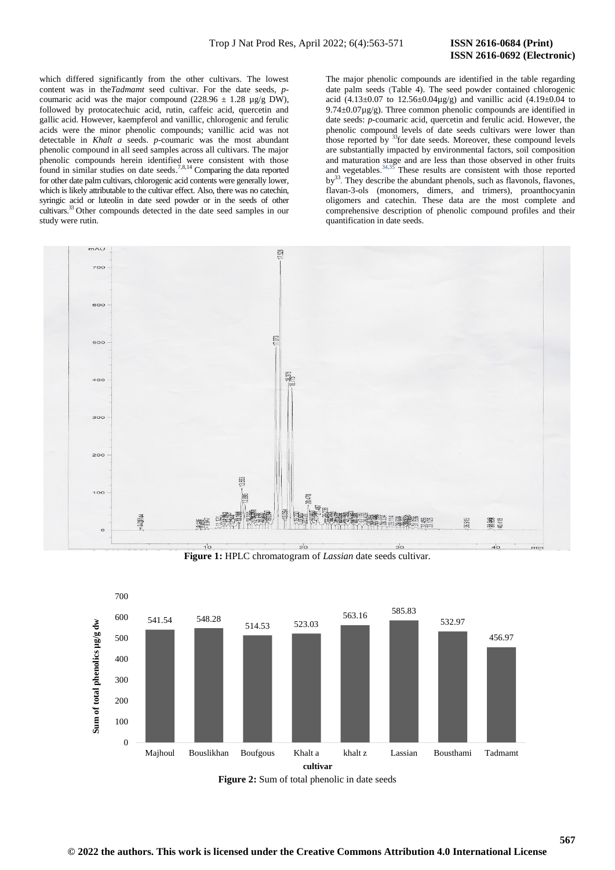# **ISSN 2616-0692 (Electronic)**

which differed significantly from the other cultivars. The lowest content was in the*Tadmamt* seed cultivar. For the date seeds, *p*coumaric acid was the major compound (228.96  $\pm$  1.28 µg/g DW), followed by protocatechuic acid, rutin, caffeic acid, quercetin and gallic acid. However, kaempferol and vanillic, chlorogenic and ferulic acids were the minor phenolic compounds; vanillic acid was not detectable in *Khalt a* seeds. *p-*coumaric was the most abundant phenolic compound in all seed samples across all cultivars. The major phenolic compounds herein identified were consistent with those found in similar studies on date seeds.<sup>7,8,14</sup> Comparing the data reported for other date palm cultivars, chlorogenic acid contents were generally lower, which is likely attributable to the cultivar effect. Also, there was no catechin, syringic acid or luteolin in date seed powder or in the seeds of other cultivars.<sup>33</sup> Other compounds detected in the date seed samples in our study were rutin.

The major phenolic compounds are identified in the table regarding date palm seeds (Table 4). The seed powder contained chlorogenic acid (4.13±0.07 to 12.56±0.04µg/g) and vanillic acid (4.19±0.04 to  $9.74\pm0.07\mu$ g/g). Three common phenolic compounds are identified in date seeds: *p-*coumaric acid, quercetin and ferulic acid. However, the phenolic compound levels of date seeds cultivars were lower than those reported by <sup>33</sup>for date seeds. Moreover, these compound levels are substantially impacted by environmental factors, soil composition and maturation stage and are less than those observed in other fruits and vegetables. 34,35 These results are consistent with those reported by<sup>33</sup>. They describe the abundant phenols, such as flavonols, flavones, flavan-3-ols (monomers, dimers, and trimers), proanthocyanin oligomers and catechin. These data are the most complete and comprehensive description of phenolic compound profiles and their quantification in date seeds.



**Figure 1:** HPLC chromatogram of *Lassian* date seeds cultivar.



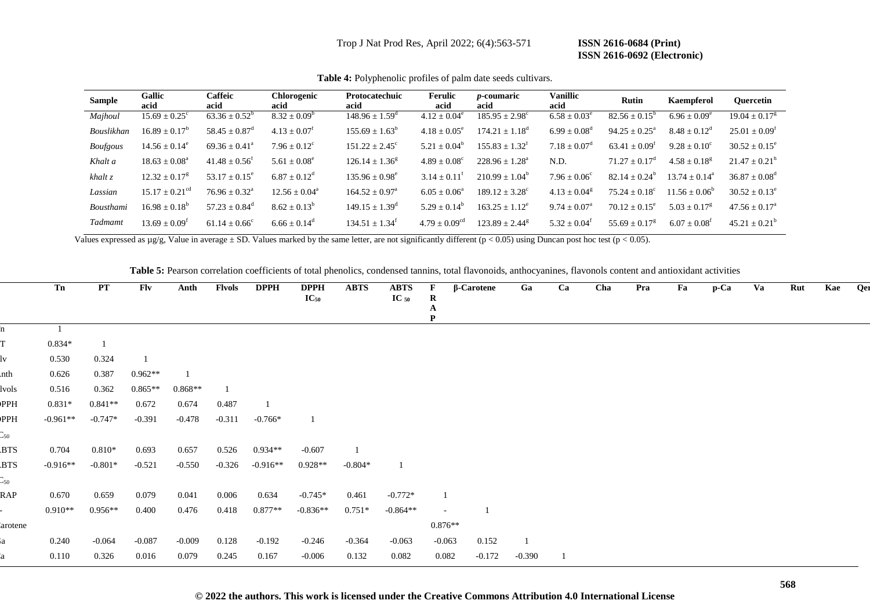Trop J Nat Prod Res, April 2022; 6(4):563-571 **ISSN 2616-0684 (Print)**

# **ISSN 2616-0692 (Electronic)**

| <b>Sample</b>   | <b>Gallic</b><br>acid        | Caffeic<br>acid               | <b>Chlorogenic</b><br>acid   | <b>Protocatechuic</b><br>acid | <b>Ferulic</b><br>acid  | <i>p</i> -coumaric<br>acid | <b>Vanillic</b><br>acid    | <b>Rutin</b>                | Kaempferol                   | <b>Ouercetin</b>            |
|-----------------|------------------------------|-------------------------------|------------------------------|-------------------------------|-------------------------|----------------------------|----------------------------|-----------------------------|------------------------------|-----------------------------|
| Majhoul         | $15.69 \pm 0.25^{\circ}$     | $63.36 \pm 0.52^b$            | $8.32 \pm 0.09^b$            | $148.96 \pm 1.59^{\circ}$     | $4.12 \pm 0.04^e$       | $185.95 \pm 2.98^{\circ}$  | $6.58 \pm 0.03^e$          | $82.56 \pm 0.15^b$          | $6.96 \pm 0.09^e$            | $19.04 \pm 0.17^8$          |
| Bouslikhan      | $16.89 + 0.17^{\circ}$       | $58.45 \pm 0.87$ <sup>d</sup> | $4.13 \pm 0.07^t$            | $155.69 \pm 1.63^{\circ}$     | $4.18 \pm 0.05^{\circ}$ | $174.21 + 1.18^{\circ}$    | $6.99 \pm 0.08^{\text{d}}$ | $94.25 + 0.25^a$            | $8.48 \pm 0.12^{\circ}$      | $25.01 \pm 0.09^{\text{t}}$ |
| <b>Boufgous</b> | $14.56 \pm 0.14^e$           | $69.36 \pm 0.41^{\circ}$      | $7.96 \pm 0.12^{\circ}$      | $151.22 \pm 2.45^{\circ}$     | $5.21 + 0.04^b$         | $155.83 \pm 1.32^t$        | $7.18 + 0.07^{\circ}$      | $63.41 \pm 0.09^t$          | $9.28 \pm 0.10^{\circ}$      | $30.52 \pm 0.15^{\circ}$    |
| Khalt a         | $18.63 \pm 0.08^{\circ}$     | $41.48 + 0.56^t$              | $5.61 \pm 0.08^e$            | $126.14 + 1.36g$              | $4.89 \pm 0.08^{\circ}$ | $228.96 + 1.28a$           | N.D.                       | $71.27 + 0.17^{\mathrm{d}}$ | $4.58 \pm 0.18$ <sup>g</sup> | $21.47 \pm 0.21^{\rm h}$    |
| $k$ halt $z$    | $12.32 \pm 0.17^8$           | $53.17 + 0.15^e$              | $6.87 \pm 0.12^{\rm d}$      | $135.96 + 0.98^e$             | $3.14 \pm 0.11^t$       | $210.99 \pm 1.04^{\circ}$  | $7.96 + 0.06^{\circ}$      | $82.14 + 0.24^b$            | $13.74 + 0.14^a$             | $36.87 \pm 0.08^{\text{d}}$ |
| Lassian         | $15.17 \pm 0.21^{\text{cd}}$ | $76.96 \pm 0.32^{\text{a}}$   | $12.56 \pm 0.04^{\circ}$     | $164.52 + 0.97a$              | $6.05 \pm 0.06^{\circ}$ | $189.12 \pm 3.28^{\circ}$  | $4.13 \pm 0.04^8$          | $75.24 + 0.18^{\circ}$      | $11.56 + 0.06^{\circ}$       | $30.52 \pm 0.13^{\circ}$    |
| Bousthami       | $16.98 \pm 0.18^b$           | $57.23 + 0.84^{\circ}$        | $8.62 \pm 0.13^b$            | $149.15 + 1.39^{\circ}$       | $5.29 + 0.14^b$         | $163.25 + 1.12^e$          | $9.74 + 0.07^{\circ}$      | $70.12 + 0.15^e$            | $5.03 + 0.17^8$              | $47.56 \pm 0.17^{\circ}$    |
| Tadmamt         | $13.69 \pm 0.09^{\text{t}}$  | $61.14 + 0.66^{\circ}$        | $6.66 \pm 0.14$ <sup>d</sup> | $134.51 + 1.34^t$             | $4.79 + 0.09^{cd}$      | $123.89 + 2.44^8$          | $5.32 \pm 0.04^{\text{t}}$ | $55.69 \pm 0.17^8$          | $6.07 \pm 0.08^{\text{t}}$   | $45.21 \pm 0.21^{\circ}$    |

**Table 4:** Polyphenolic profiles of palm date seeds cultivars.

Values expressed as  $\mu g/g$ , Value in average  $\pm$  SD. Values marked by the same letter, are not significantly different (p < 0.05) using Duncan post hoc test (p < 0.05).

**Table 5:** Pearson correlation coefficients of total phenolics, condensed tannins, total flavonoids, anthocyanines, flavonols content and antioxidant activities

|                   | Tn         | PT        | Flv       | Anth      | Flvols   | <b>DPPH</b> | <b>DPPH</b><br>$IC_{50}$ | <b>ABTS</b> | <b>ABTS</b><br>$\text{IC}_{50}$ | F<br>$\bf R$<br>A | $\sqrt{\beta}$ -Carotene | Ga       | Ca | Cha | Pra | Fa | $p$ -Ca | Va | Rut | Kae | Qer |
|-------------------|------------|-----------|-----------|-----------|----------|-------------|--------------------------|-------------|---------------------------------|-------------------|--------------------------|----------|----|-----|-----|----|---------|----|-----|-----|-----|
| 'n                |            |           |           |           |          |             |                          |             |                                 | P                 |                          |          |    |     |     |    |         |    |     |     |     |
| T                 | $0.834*$   |           |           |           |          |             |                          |             |                                 |                   |                          |          |    |     |     |    |         |    |     |     |     |
| lv                | 0.530      | 0.324     |           |           |          |             |                          |             |                                 |                   |                          |          |    |     |     |    |         |    |     |     |     |
| nth               | 0.626      | 0.387     | $0.962**$ |           |          |             |                          |             |                                 |                   |                          |          |    |     |     |    |         |    |     |     |     |
| lvols             | 0.516      | 0.362     | $0.865**$ | $0.868**$ |          |             |                          |             |                                 |                   |                          |          |    |     |     |    |         |    |     |     |     |
| PPH               | $0.831*$   | $0.841**$ | 0.672     | 0.674     | 0.487    |             |                          |             |                                 |                   |                          |          |    |     |     |    |         |    |     |     |     |
| PPH               | $-0.961**$ | $-0.747*$ | $-0.391$  | $-0.478$  | $-0.311$ | $-0.766*$   |                          |             |                                 |                   |                          |          |    |     |     |    |         |    |     |     |     |
| $\mathbb{C}_{50}$ |            |           |           |           |          |             |                          |             |                                 |                   |                          |          |    |     |     |    |         |    |     |     |     |
| <b>BTS</b>        | 0.704      | $0.810*$  | 0.693     | 0.657     | 0.526    | $0.934**$   | $-0.607$                 |             |                                 |                   |                          |          |    |     |     |    |         |    |     |     |     |
| <b>BTS</b>        | $-0.916**$ | $-0.801*$ | $-0.521$  | $-0.550$  | $-0.326$ | $-0.916**$  | $0.928**$                | $-0.804*$   | $\mathbf{1}$                    |                   |                          |          |    |     |     |    |         |    |     |     |     |
| $\mathbb{C}_{50}$ |            |           |           |           |          |             |                          |             |                                 |                   |                          |          |    |     |     |    |         |    |     |     |     |
| RAP               | 0.670      | 0.659     | 0.079     | 0.041     | 0.006    | 0.634       | $-0.745*$                | 0.461       | $-0.772*$                       |                   |                          |          |    |     |     |    |         |    |     |     |     |
|                   | $0.910**$  | $0.956**$ | 0.400     | 0.476     | 0.418    | $0.877**$   | $-0.836**$               | $0.751*$    | $-0.864**$                      | $\sim$            |                          |          |    |     |     |    |         |    |     |     |     |
| arotene           |            |           |           |           |          |             |                          |             |                                 | $0.876**$         |                          |          |    |     |     |    |         |    |     |     |     |
| ia                | 0.240      | $-0.064$  | $-0.087$  | $-0.009$  | 0.128    | $-0.192$    | $-0.246$                 | $-0.364$    | $-0.063$                        | $-0.063$          | 0.152                    | -1       |    |     |     |    |         |    |     |     |     |
| 'a                | 0.110      | 0.326     | 0.016     | 0.079     | 0.245    | 0.167       | $-0.006$                 | 0.132       | 0.082                           | 0.082             | $-0.172$                 | $-0.390$ |    |     |     |    |         |    |     |     |     |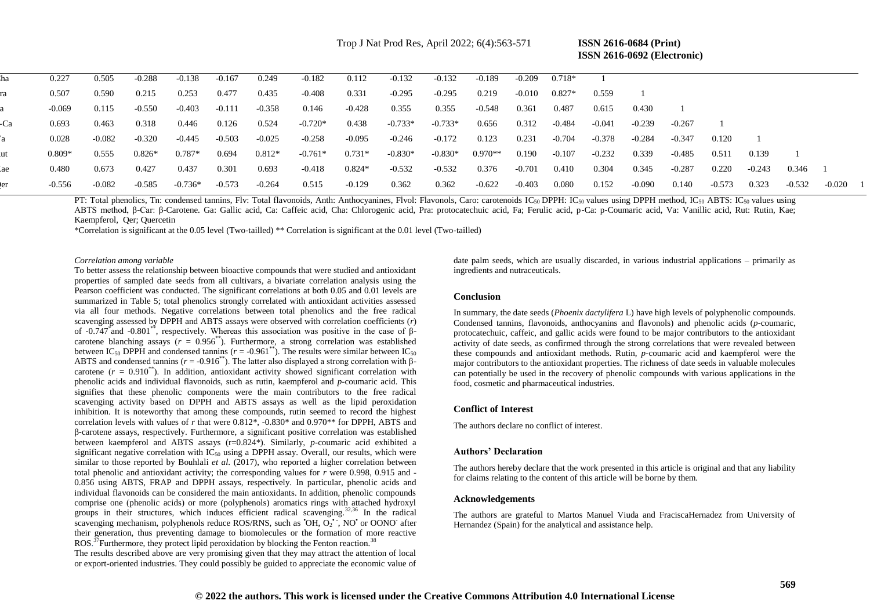Trop J Nat Prod Res, April 2022; 6(4):563-571 **ISSN 2616-0684 (Print)**

 **ISSN 2616-0692 (Electronic)** 

|     | 0.227    | 0.505  | $-0.288$ | $-0.138$  | $-0.167$ | 0.249    | $-0.182$  | 0.112    | $-0.132$  | $-0.132$  | -0.189    | $-0.209$ | $0.718*$ |          |        |          |          |        |        |            |  |
|-----|----------|--------|----------|-----------|----------|----------|-----------|----------|-----------|-----------|-----------|----------|----------|----------|--------|----------|----------|--------|--------|------------|--|
|     | 0.507    | 0.590  | 0.215    | 0.253     | 0.477    | 0.435    | -0.408    | 0.331    | $-0.295$  | $-0.295$  | 0.219     | $-0.010$ | $0.827*$ | 0.559    |        |          |          |        |        |            |  |
|     | -0.069   | 0.115  | $-0.550$ | -0.403    | $-0.111$ | -0.358   | 0.146     | -0.428   | 0.355     | 0.355     | -0.548    | 0.361    | 0.487    | 0.615    | 0.430  |          |          |        |        |            |  |
| -Ca | 0.693    | 0.463  | 0.318    | 0.446     | 0.126    | 0.524    | $-0.720*$ | 0.438    | $-0.733*$ | $-0.733*$ | 0.656     | 0.312    | -0.484   | $-0.041$ | -0.239 | $-0.267$ |          |        |        |            |  |
|     | 0.028    | -0.082 | $-0.320$ | -0.445    | $-0.503$ | $-0.025$ | -0.258    | -0.095   | -0.246    | -0.172    | 0.123     | 0.231    | -0.704   | -0.378   | -0.284 | $-0.347$ | 0.120    |        |        |            |  |
| .ut | $0.809*$ | 0.555  | $0.826*$ | $0.787*$  | 0.694    | $0.812*$ | $-0.761*$ | $0.731*$ | $-0.830*$ | $-0.830*$ | $0.970**$ | 0.190    | $-0.107$ | $-0.232$ | 0.339  | -0.485   | 0.511    | 0.139  |        |            |  |
|     | 0.480    | 0.673  | 0.427    | 0.437     | 0.301    | 0.693    | -0.418    | $0.824*$ | $-0.532$  | $-0.532$  | 0.376     | -0.701   | 0.410    | 0.304    | 0.345  | $-0.287$ | 0.220    | -0.243 | 0.346  |            |  |
|     | -0.556   | -0.082 | $-0.585$ | $-0.736*$ | $-0.573$ | -0.264   | 0.515     | -0.129   | 0.362     | 0.362     | $-0.622$  | -0.403   | 0.080    | 0.152    | -0.090 | 0.140    | $-0.573$ | 0.323  | -0.532 | $-0.020$ 1 |  |
|     |          |        |          |           |          |          |           |          |           |           |           |          |          |          |        |          |          |        |        |            |  |

PT: Total phenolics, Tn: condensed tannins, Flv: Total flavonoids, Anth: Anthocyanines, Flvol: Flavonols, Caro: carotenoids IC<sub>50</sub> DPPH: IC<sub>50</sub> values using DPPH method, IC<sub>50</sub> ABTS: IC<sub>50</sub> values using ABTS method, β-Car: β-Carotene. Ga: Gallic acid, Ca: Caffeic acid, Cha: Chlorogenic acid, Pra: protocatechuic acid, Fa; Ferulic acid, p-Ca: p-Coumaric acid, Va: Vanillic acid, Rut: Rutin, Kae; Kaempferol, Qer; Quercetin

\*Correlation is significant at the 0.05 level (Two-tailled) \*\* Correlation is significant at the 0.01 level (Two-tailled)

*Correlation among variable* 

To better assess the relationship between bioactive compounds that were studied and antioxidant properties of sampled date seeds from all cultivars, a bivariate correlation analysis using the Pearson coefficient was conducted. The significant correlations at both 0.05 and 0.01 levels are summarized in Table 5; total phenolics strongly correlated with antioxidant activities assessed via all four methods. Negative correlations between total phenolics and the free radical scavenging assessed by DPPH and ABTS assays were observed with correlation coefficients (*r*) of -0.747<sup>\*</sup> and -0.801<sup>\*\*</sup>, respectively. Whereas this association was positive in the case of βcarotene blanching assays  $(r = 0.956^{**})$ . Furthermore, a strong correlation was established between IC<sub>50</sub> DPPH and condensed tannins ( $r = -0.961^{**}$ ). The results were similar between IC<sub>50</sub> ABTS and condensed tannins ( $r = -0.916^{*}$ ). The latter also displayed a strong correlation with  $\beta$ carotene  $(r = 0.910<sup>**</sup>)$ . In addition, antioxidant activity showed significant correlation with phenolic acids and individual flavonoids, such as rutin, kaempferol and *p*-coumaric acid. This signifies that these phenolic components were the main contributors to the free radical scavenging activity based on DPPH and ABTS assays as well as the lipid peroxidation inhibition. It is noteworthy that among these compounds, rutin seemed to record the highest correlation levels with values of *r* that were 0.812\*, -0.830\* and 0.970\*\* for DPPH, ABTS and β-carotene assays, respectively. Furthermore, a significant positive correlation was established between kaempferol and ABTS assays (r=0.824\*). Similarly, *p-*coumaric acid exhibited a significant negative correlation with  $IC_{50}$  using a DPPH assay. Overall, our results, which were similar to those reported by Bouhlali *et al*. (2017), who reported a higher correlation between total phenolic and antioxidant activity; the corresponding values for *r* were 0.998, 0.915 and - 0.856 using ABTS, FRAP and DPPH assays, respectively. In particular, phenolic acids and individual flavonoids can be considered the main antioxidants. In addition, phenolic compounds comprise one (phenolic acids) or more (polyphenols) aromatics rings with attached hydroxyl groups in their structures, which induces efficient radical scavenging.<sup>32,36</sup> In the radical scavenging mechanism, polyphenols reduce ROS/RNS, such as 'OH, O<sub>2</sub>', NO' or OONO<sup>-</sup> after their generation, thus preventing damage to biomolecules or the formation of more reactive ROS.<sup> $\frac{37}{2}$ </sup> Furthermore, they protect lipid peroxidation by blocking the Fenton reaction.<sup>38</sup>

The results described above are very promising given that they may attract the attention of local or export-oriented industries. They could possibly be guided to appreciate the economic value of date palm seeds, which are usually discarded, in various industrial applications – primarily as ingredients and nutraceuticals.

# **Conclusion**

In summary, the date seeds (*Phoenix dactylifera* L) have high levels of polyphenolic compounds. Condensed tannins, flavonoids, anthocyanins and flavonols) and phenolic acids (*p-*coumaric, protocatechuic, caffeic, and gallic acids were found to be major contributors to the antioxidant activity of date seeds, as confirmed through the strong correlations that were revealed between these compounds and antioxidant methods. Rutin, *p-*coumaric acid and kaempferol were the major contributors to the antioxidant properties. The richness of date seeds in valuable molecules can potentially be used in the recovery of phenolic compounds with various applications in the food, cosmetic and pharmaceutical industries.

# **Conflict of Interest**

The authors declare no conflict of interest.

#### **Authors' Declaration**

The authors hereby declare that the work presented in this article is original and that any liability for claims relating to the content of this article will be borne by them.

#### **Acknowledgements**

The authors are grateful to Martos Manuel Viuda and FraciscaHernadez from University of Hernandez (Spain) for the analytical and assistance help.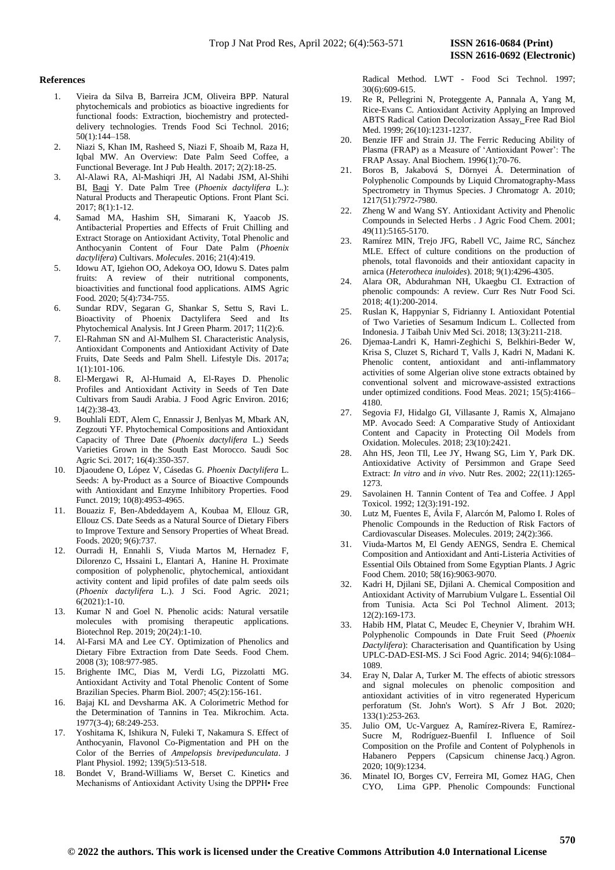# **References**

- 1. Vieira da Silva B, Barreira JCM, Oliveira BPP. Natural phytochemicals and probiotics as bioactive ingredients for functional foods: Extraction, biochemistry and protecteddelivery technologies. Trends Food Sci Technol. 2016; 50(1):144–158.
- 2. Niazi S, Khan IM, Rasheed S, Niazi F, Shoaib M, Raza H, Iqbal MW. An Overview: Date Palm Seed Coffee, a Functional Beverage. Int J Pub Health. 2017; 2(2):18-25.
- 3. Al-Alawi RA, Al-Mashiqri JH, Al Nadabi JSM, Al-Shihi BI, [Baqi](https://www.frontiersin.org/people/u/367588) Y. Date Palm Tree (*Phoenix dactylifera* L.): Natural Products and Therapeutic Options. Front Plant Sci. 2017; 8(1):1-12.
- 4. Samad MA, Hashim SH, Simarani K, Yaacob JS. Antibacterial Properties and Effects of Fruit Chilling and Extract Storage on Antioxidant Activity, Total Phenolic and Anthocyanin Content of Four Date Palm (*Phoenix dactylifera*) Cultivars. *Molecules*. 2016; 21(4):419.
- 5. Idowu AT, Igiehon OO, Adekoya OO, Idowu S. Dates palm fruits: A review of their nutritional components, bioactivities and functional food applications. AIMS Agric Food*.* 2020; 5(4):734-755.
- 6. Sundar RDV, Segaran G, Shankar S, Settu S, Ravi L. Bioactivity of Phoenix Dactylifera Seed and Its Phytochemical Analysis. Int J Green Pharm. 2017; 11(2):6.
- 7. El-Rahman SN and Al-Mulhem SI. Characteristic Analysis, Antioxidant Components and Antioxidant Activity of Date Fruits, Date Seeds and Palm Shell. Lifestyle Dis. 2017a; 1(1):101-106.
- 8. El-Mergawi R, Al-Humaid A, El-Rayes D. Phenolic Profiles and Antioxidant Activity in Seeds of Ten Date Cultivars from Saudi Arabia. J Food Agric Environ. 2016; 14(2):38-43.
- 9. Bouhlali EDT, Alem C, Ennassir J, Benlyas M, Mbark AN, Zegzouti YF. Phytochemical Compositions and Antioxidant Capacity of Three Date (*Phoenix dactylifera* L.) Seeds Varieties Grown in the South East Morocco. Saudi Soc Agric Sci. 2017; 16(4):350-357.
- 10. Djaoudene O, López V, Cásedas G. *Phoenix Dactylifera* L. Seeds: A by-Product as a Source of Bioactive Compounds with Antioxidant and Enzyme Inhibitory Properties. Food Funct. 2019; 10(8):4953-4965.
- 11. Bouaziz F, Ben-Abdeddayem A, Koubaa M, Ellouz GR, Ellouz CS. Date Seeds as a Natural Source of Dietary Fibers to Improve Texture and Sensory Properties of Wheat Bread. Foods. 2020; 9(6):737.
- 12. Ourradi H, Ennahli S, Viuda Martos M, Hernadez F, Dilorenzo C, Hssaini L, Elantari A, Hanine H. Proximate composition of polyphenolic, phytochemical, antioxidant activity content and lipid profiles of date palm seeds oils (*Phoenix dactylifera* L.). J Sci. Food Agric*.* 2021; 6(2021):1-10.
- 13. Kumar N and Goel N. Phenolic acids: Natural versatile molecules with promising therapeutic applications. Biotechnol Rep. 2019; 20(24):1-10.
- 14. Al-Farsi MA and Lee CY. Optimization of Phenolics and Dietary Fibre Extraction from Date Seeds. Food Chem. 2008 (3); 108:977-985.
- 15. Brighente IMC, Dias M, Verdi LG, Pizzolatti MG. Antioxidant Activity and Total Phenolic Content of Some Brazilian Species. Pharm Biol. 2007; 45(2):156-161.
- 16. Bajaj KL and Devsharma AK. A Colorimetric Method for the Determination of Tannins in Tea. Mikrochim. Acta. 1977(3-4); 68:249-253.
- 17. Yoshitama K, Ishikura N, Fuleki T, Nakamura S. Effect of Anthocyanin, Flavonol Co-Pigmentation and PH on the Color of the Berries of *Ampelopsis brevipedunculata*. J Plant Physiol. 1992[; 139\(5\)](https://www.sciencedirect.com/science/journal/01761617/139/5):513-518.
- 18. Bondet V, Brand-Williams W, Berset C. Kinetics and Mechanisms of Antioxidant Activity Using the DPPH• Free

Radical Method. LWT - Food Sci Technol. 1997; 30(6):609-615.

- 19. Re R, Pellegrini N, Proteggente A, Pannala A, Yang M, Rice-Evans C. Antioxidant Activity Applying an Improved ABTS Radical Cation Decolorization Assay*.* Free Rad Biol Med. 1999[; 26\(10\)](https://www.sciencedirect.com/science/journal/08915849/26/9):1231-1237.
- 20. Benzie IFF and Strain JJ. The Ferric Reducing Ability of Plasma (FRAP) as a Measure of 'Antioxidant Power': The FRAP Assay. Anal Biochem. 1996(1);70-76.
- 21. Boros B, Jakabová S, Dörnyei Á. Determination of Polyphenolic Compounds by Liquid Chromatography-Mass Spectrometry in Thymus Species. J Chromatogr A. 2010; 1217(51):7972-7980.
- 22. Zheng W and Wang SY. Antioxidant Activity and Phenolic Compounds in Selected Herbs . J Agric Food Chem. 2001; 49(11):5165-5170.
- 23. Ramírez MIN, Trejo JFG, Rabell VC, Jaime RC, Sánchez MLE. Effect of culture conditions on the production of phenols, total flavonoids and their antioxidant capacity in arnica (*Heterotheca inuloides*). 2018; 9(1):4296-4305.
- 24. Alara OR, Abdurahman NH, Ukaegbu CI. Extraction of phenolic compounds: A review. Curr Res Nutr Food Sci. 2018; 4(1):200-2014.
- 25. Ruslan K, Happyniar S, Fidrianny I. Antioxidant Potential of Two Varieties of Sesamum Indicum L. Collected from Indonesia. J Taibah Univ Med Sci. 2018; [13\(3\)](https://www.sciencedirect.com/science/journal/16583612/13/3):211-218.
- 26. Djemaa-Landri K, Hamri-Zeghichi S, Belkhiri-Beder W, Krisa S, Cluzet S, Richard T, Valls J, Kadri N, Madani K. Phenolic content, antioxidant and anti-inflammatory activities of some Algerian olive stone extracts obtained by conventional solvent and microwave-assisted extractions under optimized conditions. Food Meas. 2021; 15(5):4166– 4180.
- 27. Segovia FJ, Hidalgo GI, Villasante J, Ramis X, Almajano MP. Avocado Seed: A Comparative Study of Antioxidant Content and Capacity in Protecting Oil Models from Oxidation. Molecules. 2018; 23(10):2421.
- 28. Ahn HS, Jeon TIl, Lee JY, Hwang SG, Lim Y, Park DK. Antioxidative Activity of Persimmon and Grape Seed Extract: *In vitro* and *in vivo*. Nutr Res. 2002; 22(11):1265- 1273.
- 29. Savolainen H. Tannin Content of Tea and Coffee. J Appl Toxicol. 1992; 12(3):191-192.
- 30. Lutz M, Fuentes E, Ávila F, Alarcón M, Palomo I. Roles of Phenolic Compounds in the Reduction of Risk Factors of Cardiovascular Diseases. Molecules. 2019; 24(2):366.
- 31. Viuda-Martos M, El Gendy AENGS, Sendra E. Chemical Composition and Antioxidant and Anti-Listeria Activities of Essential Oils Obtained from Some Egyptian Plants. J Agric Food Chem. 2010; 58(16):9063-9070.
- 32. Kadri H, Djilani SE, Djilani A. Chemical Composition and Antioxidant Activity of Marrubium Vulgare L. Essential Oil from Tunisia. Acta Sci Pol Technol Aliment. 2013; 12(2):169-173.
- 33. Habib HM, Platat C, Meudec E, Cheynier V, Ibrahim WH. Polyphenolic Compounds in Date Fruit Seed (*Phoenix Dactylifera*): Characterisation and Quantification by Using UPLC-DAD-ESI-MS. J Sci Food Agric. 2014; 94(6):1084– 1089.
- 34. Eray N, Dalar A, Turker M. The effects of abiotic stressors and signal molecules on phenolic composition and antioxidant activities of in vitro regenerated Hypericum perforatum (St. John's Wort). S Afr J Bot. 2020; 133(1):253-263.
- 35. Julio OM, Uc-Varguez A, Ramírez-Rivera E, Ramírez-Sucre M, Rodríguez-Buenfil I. Influence of Soil Composition on the Profile and Content of Polyphenols in Habanero Peppers (Capsicum chinense Jacq.) Agron. 2020; 10(9):1234.
- 36. Minatel IO, Borges CV, Ferreira MI, Gomez HAG, Chen CYO, Lima GPP. Phenolic Compounds: Functional